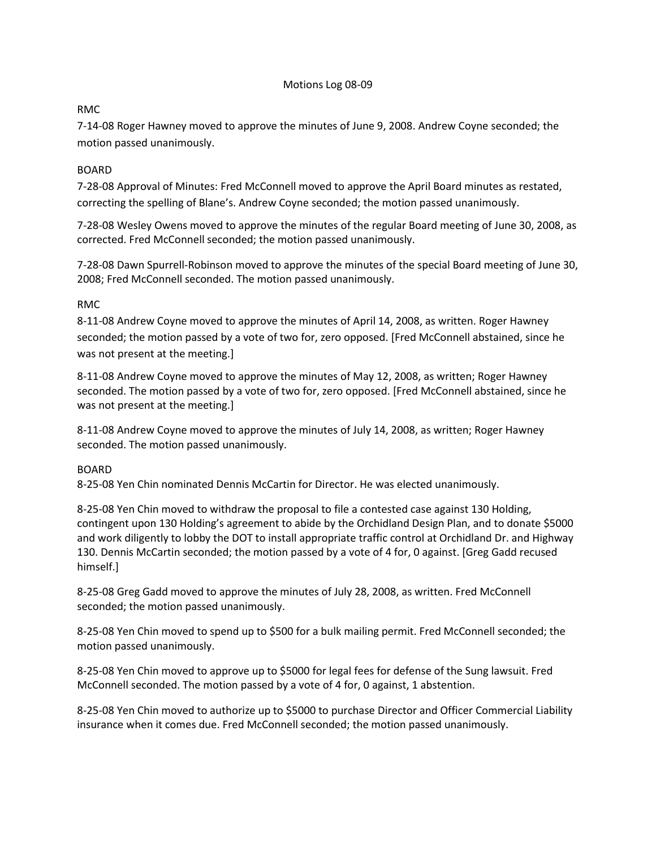### Motions Log 08-09

# RMC

7-14-08 Roger Hawney moved to approve the minutes of June 9, 2008. Andrew Coyne seconded; the motion passed unanimously.

# BOARD

7-28-08 Approval of Minutes: Fred McConnell moved to approve the April Board minutes as restated, correcting the spelling of Blane's. Andrew Coyne seconded; the motion passed unanimously.

7-28-08 Wesley Owens moved to approve the minutes of the regular Board meeting of June 30, 2008, as corrected. Fred McConnell seconded; the motion passed unanimously.

7-28-08 Dawn Spurrell-Robinson moved to approve the minutes of the special Board meeting of June 30, 2008; Fred McConnell seconded. The motion passed unanimously.

### RMC

8-11-08 Andrew Coyne moved to approve the minutes of April 14, 2008, as written. Roger Hawney seconded; the motion passed by a vote of two for, zero opposed. [Fred McConnell abstained, since he was not present at the meeting.]

8-11-08 Andrew Coyne moved to approve the minutes of May 12, 2008, as written; Roger Hawney seconded. The motion passed by a vote of two for, zero opposed. [Fred McConnell abstained, since he was not present at the meeting.]

8-11-08 Andrew Coyne moved to approve the minutes of July 14, 2008, as written; Roger Hawney seconded. The motion passed unanimously.

### BOARD

8-25-08 Yen Chin nominated Dennis McCartin for Director. He was elected unanimously.

8-25-08 Yen Chin moved to withdraw the proposal to file a contested case against 130 Holding, contingent upon 130 Holding's agreement to abide by the Orchidland Design Plan, and to donate \$5000 and work diligently to lobby the DOT to install appropriate traffic control at Orchidland Dr. and Highway 130. Dennis McCartin seconded; the motion passed by a vote of 4 for, 0 against. [Greg Gadd recused himself.]

8-25-08 Greg Gadd moved to approve the minutes of July 28, 2008, as written. Fred McConnell seconded; the motion passed unanimously.

8-25-08 Yen Chin moved to spend up to \$500 for a bulk mailing permit. Fred McConnell seconded; the motion passed unanimously.

8-25-08 Yen Chin moved to approve up to \$5000 for legal fees for defense of the Sung lawsuit. Fred McConnell seconded. The motion passed by a vote of 4 for, 0 against, 1 abstention.

8-25-08 Yen Chin moved to authorize up to \$5000 to purchase Director and Officer Commercial Liability insurance when it comes due. Fred McConnell seconded; the motion passed unanimously.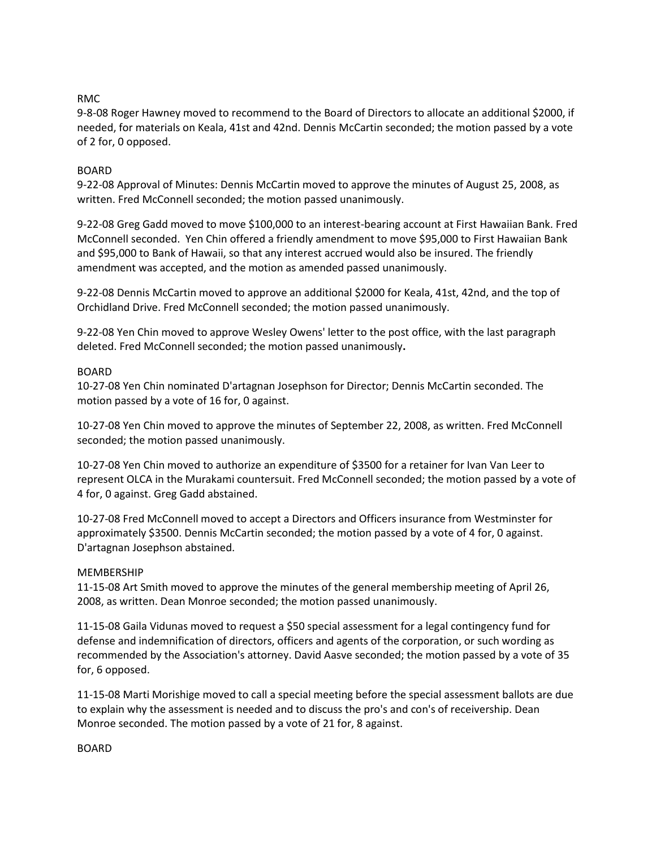### RMC

9-8-08 Roger Hawney moved to recommend to the Board of Directors to allocate an additional \$2000, if needed, for materials on Keala, 41st and 42nd. Dennis McCartin seconded; the motion passed by a vote of 2 for, 0 opposed.

# BOARD

9-22-08 Approval of Minutes: Dennis McCartin moved to approve the minutes of August 25, 2008, as written. Fred McConnell seconded; the motion passed unanimously.

9-22-08 Greg Gadd moved to move \$100,000 to an interest-bearing account at First Hawaiian Bank. Fred McConnell seconded. Yen Chin offered a friendly amendment to move \$95,000 to First Hawaiian Bank and \$95,000 to Bank of Hawaii, so that any interest accrued would also be insured. The friendly amendment was accepted, and the motion as amended passed unanimously.

9-22-08 Dennis McCartin moved to approve an additional \$2000 for Keala, 41st, 42nd, and the top of Orchidland Drive. Fred McConnell seconded; the motion passed unanimously.

9-22-08 Yen Chin moved to approve Wesley Owens' letter to the post office, with the last paragraph deleted. Fred McConnell seconded; the motion passed unanimously**.** 

# BOARD

10-27-08 Yen Chin nominated D'artagnan Josephson for Director; Dennis McCartin seconded. The motion passed by a vote of 16 for, 0 against.

10-27-08 Yen Chin moved to approve the minutes of September 22, 2008, as written. Fred McConnell seconded; the motion passed unanimously.

10-27-08 Yen Chin moved to authorize an expenditure of \$3500 for a retainer for Ivan Van Leer to represent OLCA in the Murakami countersuit. Fred McConnell seconded; the motion passed by a vote of 4 for, 0 against. Greg Gadd abstained.

10-27-08 Fred McConnell moved to accept a Directors and Officers insurance from Westminster for approximately \$3500. Dennis McCartin seconded; the motion passed by a vote of 4 for, 0 against. D'artagnan Josephson abstained.

### MEMBERSHIP

11-15-08 Art Smith moved to approve the minutes of the general membership meeting of April 26, 2008, as written. Dean Monroe seconded; the motion passed unanimously.

11-15-08 Gaila Vidunas moved to request a \$50 special assessment for a legal contingency fund for defense and indemnification of directors, officers and agents of the corporation, or such wording as recommended by the Association's attorney. David Aasve seconded; the motion passed by a vote of 35 for, 6 opposed.

11-15-08 Marti Morishige moved to call a special meeting before the special assessment ballots are due to explain why the assessment is needed and to discuss the pro's and con's of receivership. Dean Monroe seconded. The motion passed by a vote of 21 for, 8 against.

BOARD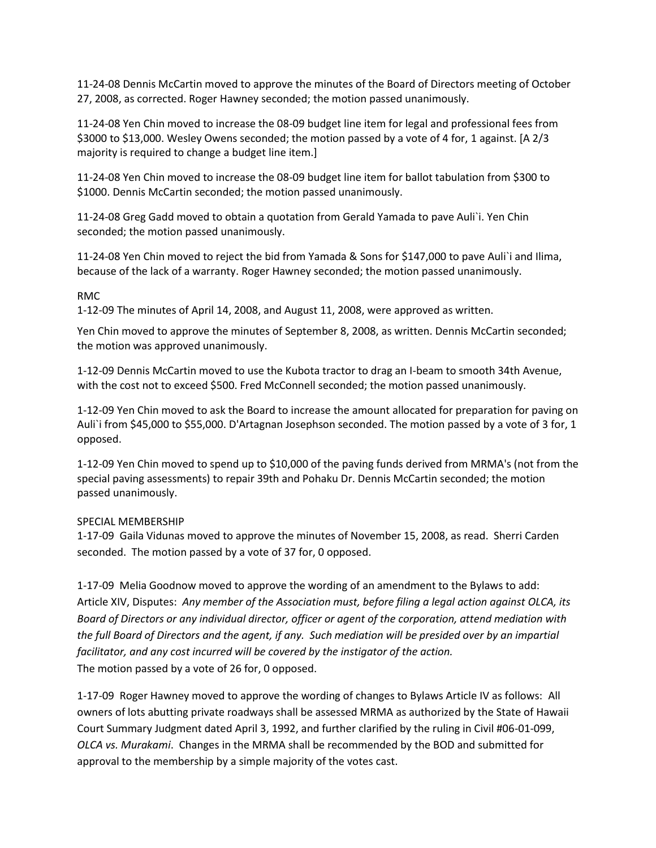11-24-08 Dennis McCartin moved to approve the minutes of the Board of Directors meeting of October 27, 2008, as corrected. Roger Hawney seconded; the motion passed unanimously.

11-24-08 Yen Chin moved to increase the 08-09 budget line item for legal and professional fees from \$3000 to \$13,000. Wesley Owens seconded; the motion passed by a vote of 4 for, 1 against. [A 2/3 majority is required to change a budget line item.]

11-24-08 Yen Chin moved to increase the 08-09 budget line item for ballot tabulation from \$300 to \$1000. Dennis McCartin seconded; the motion passed unanimously.

11-24-08 Greg Gadd moved to obtain a quotation from Gerald Yamada to pave Auli`i. Yen Chin seconded; the motion passed unanimously.

11-24-08 Yen Chin moved to reject the bid from Yamada & Sons for \$147,000 to pave Auli`i and Ilima, because of the lack of a warranty. Roger Hawney seconded; the motion passed unanimously.

### RMC

1-12-09 The minutes of April 14, 2008, and August 11, 2008, were approved as written.

Yen Chin moved to approve the minutes of September 8, 2008, as written. Dennis McCartin seconded; the motion was approved unanimously.

1-12-09 Dennis McCartin moved to use the Kubota tractor to drag an I-beam to smooth 34th Avenue, with the cost not to exceed \$500. Fred McConnell seconded; the motion passed unanimously.

1-12-09 Yen Chin moved to ask the Board to increase the amount allocated for preparation for paving on Auli`i from \$45,000 to \$55,000. D'Artagnan Josephson seconded. The motion passed by a vote of 3 for, 1 opposed.

1-12-09 Yen Chin moved to spend up to \$10,000 of the paving funds derived from MRMA's (not from the special paving assessments) to repair 39th and Pohaku Dr. Dennis McCartin seconded; the motion passed unanimously.

### SPECIAL MEMBERSHIP

1-17-09 Gaila Vidunas moved to approve the minutes of November 15, 2008, as read. Sherri Carden seconded. The motion passed by a vote of 37 for, 0 opposed.

1-17-09 Melia Goodnow moved to approve the wording of an amendment to the Bylaws to add: Article XIV, Disputes: *Any member of the Association must, before filing a legal action against OLCA, its Board of Directors or any individual director, officer or agent of the corporation, attend mediation with the full Board of Directors and the agent, if any. Such mediation will be presided over by an impartial facilitator, and any cost incurred will be covered by the instigator of the action.* The motion passed by a vote of 26 for, 0 opposed.

1-17-09 Roger Hawney moved to approve the wording of changes to Bylaws Article IV as follows: All owners of lots abutting private roadways shall be assessed MRMA as authorized by the State of Hawaii Court Summary Judgment dated April 3, 1992, and further clarified by the ruling in Civil #06-01-099, *OLCA vs. Murakami*. Changes in the MRMA shall be recommended by the BOD and submitted for approval to the membership by a simple majority of the votes cast.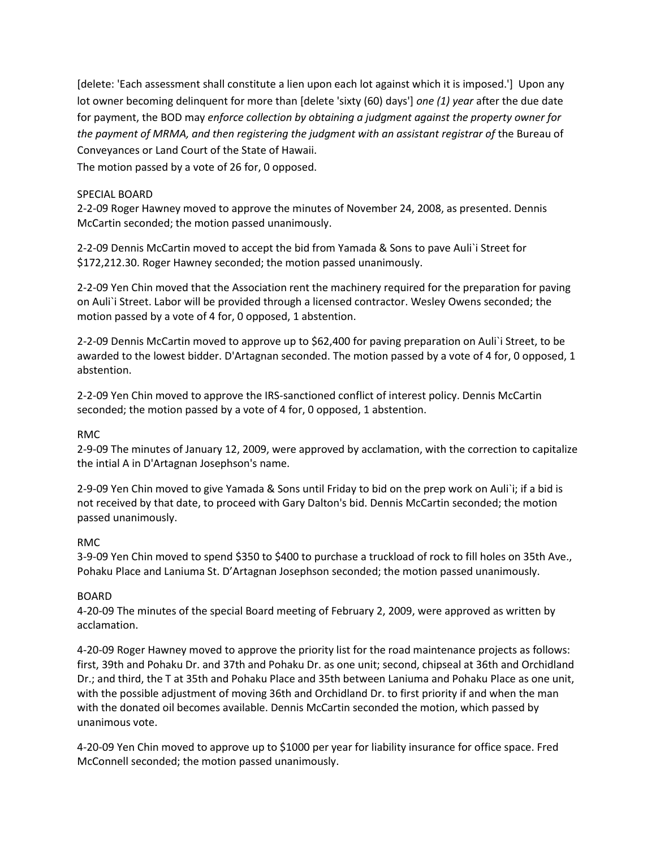[delete: 'Each assessment shall constitute a lien upon each lot against which it is imposed.'] Upon any lot owner becoming delinquent for more than [delete 'sixty (60) days'] *one (1) year* after the due date for payment, the BOD may *enforce collection by obtaining a judgment against the property owner for the payment of MRMA, and then registering the judgment with an assistant registrar of* the Bureau of Conveyances or Land Court of the State of Hawaii.

The motion passed by a vote of 26 for, 0 opposed.

# SPECIAL BOARD

2-2-09 Roger Hawney moved to approve the minutes of November 24, 2008, as presented. Dennis McCartin seconded; the motion passed unanimously.

2-2-09 Dennis McCartin moved to accept the bid from Yamada & Sons to pave Auli`i Street for \$172,212.30. Roger Hawney seconded; the motion passed unanimously.

2-2-09 Yen Chin moved that the Association rent the machinery required for the preparation for paving on Auli`i Street. Labor will be provided through a licensed contractor. Wesley Owens seconded; the motion passed by a vote of 4 for, 0 opposed, 1 abstention.

2-2-09 Dennis McCartin moved to approve up to \$62,400 for paving preparation on Auli`i Street, to be awarded to the lowest bidder. D'Artagnan seconded. The motion passed by a vote of 4 for, 0 opposed, 1 abstention.

2-2-09 Yen Chin moved to approve the IRS-sanctioned conflict of interest policy. Dennis McCartin seconded; the motion passed by a vote of 4 for, 0 opposed, 1 abstention.

### RMC

2-9-09 The minutes of January 12, 2009, were approved by acclamation, with the correction to capitalize the intial A in D'Artagnan Josephson's name.

2-9-09 Yen Chin moved to give Yamada & Sons until Friday to bid on the prep work on Auli`i; if a bid is not received by that date, to proceed with Gary Dalton's bid. Dennis McCartin seconded; the motion passed unanimously.

### RMC

3-9-09 Yen Chin moved to spend \$350 to \$400 to purchase a truckload of rock to fill holes on 35th Ave., Pohaku Place and Laniuma St. D'Artagnan Josephson seconded; the motion passed unanimously.

### BOARD

4-20-09 The minutes of the special Board meeting of February 2, 2009, were approved as written by acclamation.

4-20-09 Roger Hawney moved to approve the priority list for the road maintenance projects as follows: first, 39th and Pohaku Dr. and 37th and Pohaku Dr. as one unit; second, chipseal at 36th and Orchidland Dr.; and third, the T at 35th and Pohaku Place and 35th between Laniuma and Pohaku Place as one unit, with the possible adjustment of moving 36th and Orchidland Dr. to first priority if and when the man with the donated oil becomes available. Dennis McCartin seconded the motion, which passed by unanimous vote.

4-20-09 Yen Chin moved to approve up to \$1000 per year for liability insurance for office space. Fred McConnell seconded; the motion passed unanimously.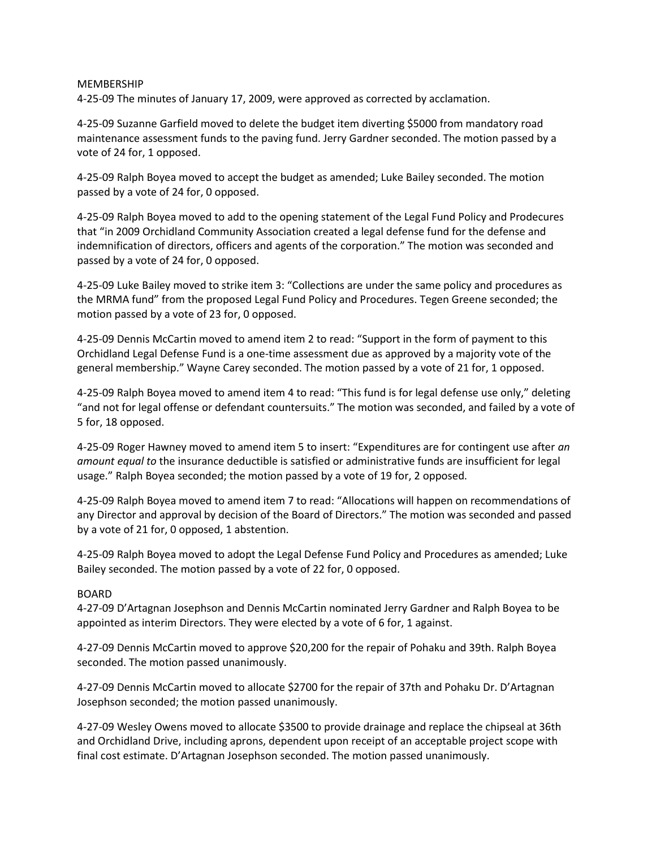#### MEMBERSHIP

4-25-09 The minutes of January 17, 2009, were approved as corrected by acclamation.

4-25-09 Suzanne Garfield moved to delete the budget item diverting \$5000 from mandatory road maintenance assessment funds to the paving fund. Jerry Gardner seconded. The motion passed by a vote of 24 for, 1 opposed.

4-25-09 Ralph Boyea moved to accept the budget as amended; Luke Bailey seconded. The motion passed by a vote of 24 for, 0 opposed.

4-25-09 Ralph Boyea moved to add to the opening statement of the Legal Fund Policy and Prodecures that "in 2009 Orchidland Community Association created a legal defense fund for the defense and indemnification of directors, officers and agents of the corporation." The motion was seconded and passed by a vote of 24 for, 0 opposed.

4-25-09 Luke Bailey moved to strike item 3: "Collections are under the same policy and procedures as the MRMA fund" from the proposed Legal Fund Policy and Procedures. Tegen Greene seconded; the motion passed by a vote of 23 for, 0 opposed.

4-25-09 Dennis McCartin moved to amend item 2 to read: "Support in the form of payment to this Orchidland Legal Defense Fund is a one-time assessment due as approved by a majority vote of the general membership." Wayne Carey seconded. The motion passed by a vote of 21 for, 1 opposed.

4-25-09 Ralph Boyea moved to amend item 4 to read: "This fund is for legal defense use only," deleting "and not for legal offense or defendant countersuits." The motion was seconded, and failed by a vote of 5 for, 18 opposed.

4-25-09 Roger Hawney moved to amend item 5 to insert: "Expenditures are for contingent use after *an amount equal to* the insurance deductible is satisfied or administrative funds are insufficient for legal usage." Ralph Boyea seconded; the motion passed by a vote of 19 for, 2 opposed.

4-25-09 Ralph Boyea moved to amend item 7 to read: "Allocations will happen on recommendations of any Director and approval by decision of the Board of Directors." The motion was seconded and passed by a vote of 21 for, 0 opposed, 1 abstention.

4-25-09 Ralph Boyea moved to adopt the Legal Defense Fund Policy and Procedures as amended; Luke Bailey seconded. The motion passed by a vote of 22 for, 0 opposed.

### BOARD

4-27-09 D'Artagnan Josephson and Dennis McCartin nominated Jerry Gardner and Ralph Boyea to be appointed as interim Directors. They were elected by a vote of 6 for, 1 against.

4-27-09 Dennis McCartin moved to approve \$20,200 for the repair of Pohaku and 39th. Ralph Boyea seconded. The motion passed unanimously.

4-27-09 Dennis McCartin moved to allocate \$2700 for the repair of 37th and Pohaku Dr. D'Artagnan Josephson seconded; the motion passed unanimously.

4-27-09 Wesley Owens moved to allocate \$3500 to provide drainage and replace the chipseal at 36th and Orchidland Drive, including aprons, dependent upon receipt of an acceptable project scope with final cost estimate. D'Artagnan Josephson seconded. The motion passed unanimously.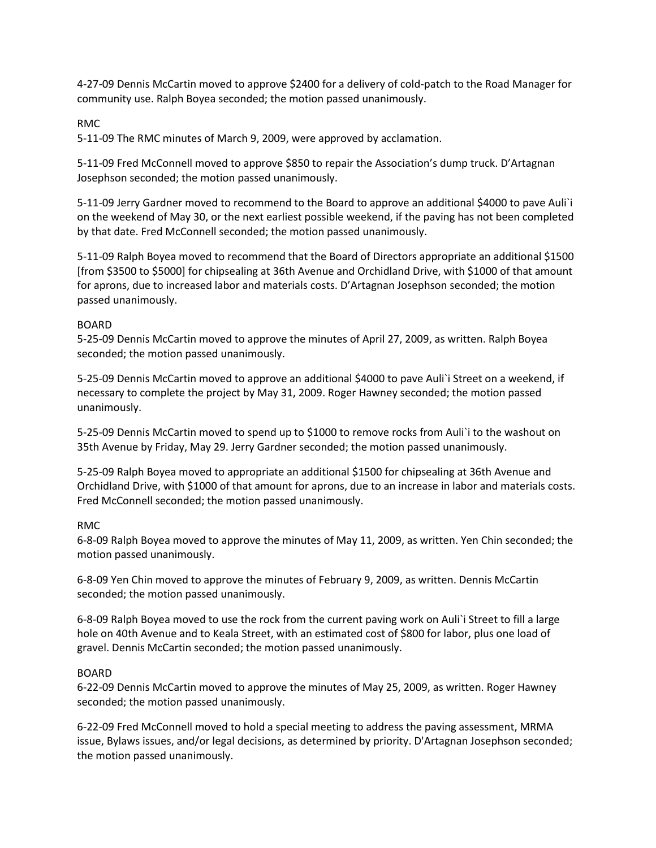4-27-09 Dennis McCartin moved to approve \$2400 for a delivery of cold-patch to the Road Manager for community use. Ralph Boyea seconded; the motion passed unanimously.

# RMC

5-11-09 The RMC minutes of March 9, 2009, were approved by acclamation.

5-11-09 Fred McConnell moved to approve \$850 to repair the Association's dump truck. D'Artagnan Josephson seconded; the motion passed unanimously.

5-11-09 Jerry Gardner moved to recommend to the Board to approve an additional \$4000 to pave Auli`i on the weekend of May 30, or the next earliest possible weekend, if the paving has not been completed by that date. Fred McConnell seconded; the motion passed unanimously.

5-11-09 Ralph Boyea moved to recommend that the Board of Directors appropriate an additional \$1500 [from \$3500 to \$5000] for chipsealing at 36th Avenue and Orchidland Drive, with \$1000 of that amount for aprons, due to increased labor and materials costs. D'Artagnan Josephson seconded; the motion passed unanimously.

# BOARD

5-25-09 Dennis McCartin moved to approve the minutes of April 27, 2009, as written. Ralph Boyea seconded; the motion passed unanimously.

5-25-09 Dennis McCartin moved to approve an additional \$4000 to pave Auli`i Street on a weekend, if necessary to complete the project by May 31, 2009. Roger Hawney seconded; the motion passed unanimously.

5-25-09 Dennis McCartin moved to spend up to \$1000 to remove rocks from Auli`i to the washout on 35th Avenue by Friday, May 29. Jerry Gardner seconded; the motion passed unanimously.

5-25-09 Ralph Boyea moved to appropriate an additional \$1500 for chipsealing at 36th Avenue and Orchidland Drive, with \$1000 of that amount for aprons, due to an increase in labor and materials costs. Fred McConnell seconded; the motion passed unanimously.

### RMC

6-8-09 Ralph Boyea moved to approve the minutes of May 11, 2009, as written. Yen Chin seconded; the motion passed unanimously.

6-8-09 Yen Chin moved to approve the minutes of February 9, 2009, as written. Dennis McCartin seconded; the motion passed unanimously.

6-8-09 Ralph Boyea moved to use the rock from the current paving work on Auli`i Street to fill a large hole on 40th Avenue and to Keala Street, with an estimated cost of \$800 for labor, plus one load of gravel. Dennis McCartin seconded; the motion passed unanimously.

### BOARD

6-22-09 Dennis McCartin moved to approve the minutes of May 25, 2009, as written. Roger Hawney seconded; the motion passed unanimously.

6-22-09 Fred McConnell moved to hold a special meeting to address the paving assessment, MRMA issue, Bylaws issues, and/or legal decisions, as determined by priority. D'Artagnan Josephson seconded; the motion passed unanimously.